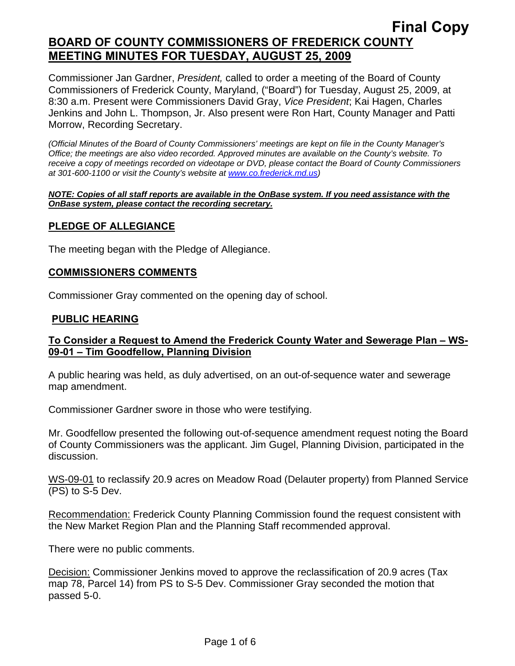# **Final Copy BOARD OF COUNTY COMMISSIONERS OF FREDERICK COUNTY MEETING MINUTES FOR TUESDAY, AUGUST 25, 2009**

Commissioner Jan Gardner, *President,* called to order a meeting of the Board of County Commissioners of Frederick County, Maryland, ("Board") for Tuesday, August 25, 2009, at 8:30 a.m. Present were Commissioners David Gray, *Vice President*; Kai Hagen, Charles Jenkins and John L. Thompson, Jr. Also present were Ron Hart, County Manager and Patti Morrow, Recording Secretary.

*(Official Minutes of the Board of County Commissioners' meetings are kept on file in the County Manager's Office; the meetings are also video recorded. Approved minutes are available on the County's website. To receive a copy of meetings recorded on videotape or DVD, please contact the Board of County Commissioners at 301-600-1100 or visit the County's website at [www.co.frederick.md.us\)](http://www.co.frederick.md.us/)* 

#### *NOTE: Copies of all staff reports are available in the OnBase system. If you need assistance with the OnBase system, please contact the recording secretary.*

## **PLEDGE OF ALLEGIANCE**

The meeting began with the Pledge of Allegiance.

#### **COMMISSIONERS COMMENTS**

Commissioner Gray commented on the opening day of school.

#### **PUBLIC HEARING**

#### **To Consider a Request to Amend the Frederick County Water and Sewerage Plan – WS-09-01 – Tim Goodfellow, Planning Division**

A public hearing was held, as duly advertised, on an out-of-sequence water and sewerage map amendment.

Commissioner Gardner swore in those who were testifying.

Mr. Goodfellow presented the following out-of-sequence amendment request noting the Board of County Commissioners was the applicant. Jim Gugel, Planning Division, participated in the discussion.

WS-09-01 to reclassify 20.9 acres on Meadow Road (Delauter property) from Planned Service (PS) to S-5 Dev.

Recommendation: Frederick County Planning Commission found the request consistent with the New Market Region Plan and the Planning Staff recommended approval.

There were no public comments.

Decision: Commissioner Jenkins moved to approve the reclassification of 20.9 acres (Tax map 78, Parcel 14) from PS to S-5 Dev. Commissioner Gray seconded the motion that passed 5-0.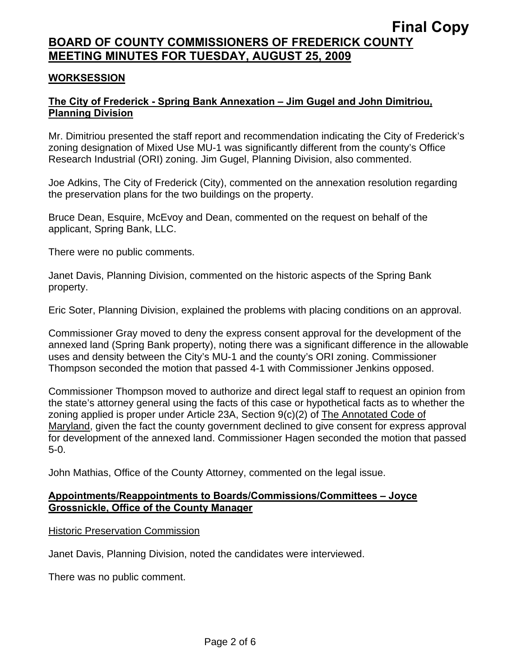# **BOARD OF COUNTY COMMISSIONERS OF FREDERICK COUNTY MEETING MINUTES FOR TUESDAY, AUGUST 25, 2009**

### **WORKSESSION**

## **The City of Frederick - Spring Bank Annexation – Jim Gugel and John Dimitriou, Planning Division**

Mr. Dimitriou presented the staff report and recommendation indicating the City of Frederick's zoning designation of Mixed Use MU-1 was significantly different from the county's Office Research Industrial (ORI) zoning. Jim Gugel, Planning Division, also commented.

Joe Adkins, The City of Frederick (City), commented on the annexation resolution regarding the preservation plans for the two buildings on the property.

Bruce Dean, Esquire, McEvoy and Dean, commented on the request on behalf of the applicant, Spring Bank, LLC.

There were no public comments.

Janet Davis, Planning Division, commented on the historic aspects of the Spring Bank property.

Eric Soter, Planning Division, explained the problems with placing conditions on an approval.

Commissioner Gray moved to deny the express consent approval for the development of the annexed land (Spring Bank property), noting there was a significant difference in the allowable uses and density between the City's MU-1 and the county's ORI zoning. Commissioner Thompson seconded the motion that passed 4-1 with Commissioner Jenkins opposed.

Commissioner Thompson moved to authorize and direct legal staff to request an opinion from the state's attorney general using the facts of this case or hypothetical facts as to whether the zoning applied is proper under Article 23A, Section 9(c)(2) of The Annotated Code of Maryland, given the fact the county government declined to give consent for express approval for development of the annexed land. Commissioner Hagen seconded the motion that passed 5-0.

John Mathias, Office of the County Attorney, commented on the legal issue.

#### **Appointments/Reappointments to Boards/Commissions/Committees – Joyce Grossnickle, Office of the County Manager**

**Historic Preservation Commission** 

Janet Davis, Planning Division, noted the candidates were interviewed.

There was no public comment.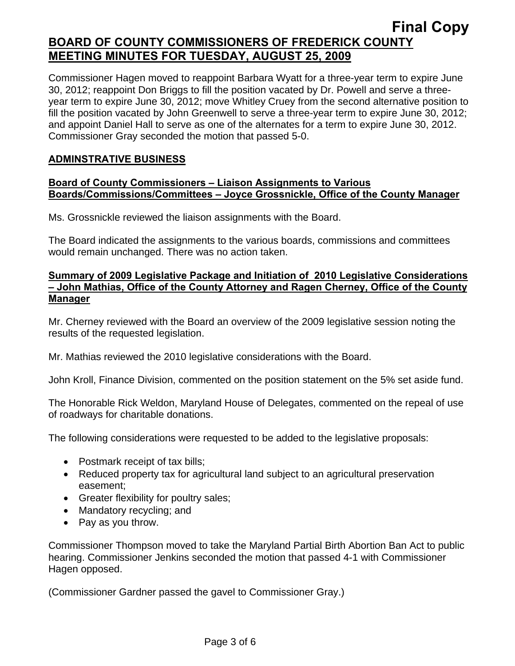# **Final Copy BOARD OF COUNTY COMMISSIONERS OF FREDERICK COUNTY MEETING MINUTES FOR TUESDAY, AUGUST 25, 2009**

Commissioner Hagen moved to reappoint Barbara Wyatt for a three-year term to expire June 30, 2012; reappoint Don Briggs to fill the position vacated by Dr. Powell and serve a threeyear term to expire June 30, 2012; move Whitley Cruey from the second alternative position to fill the position vacated by John Greenwell to serve a three-year term to expire June 30, 2012; and appoint Daniel Hall to serve as one of the alternates for a term to expire June 30, 2012. Commissioner Gray seconded the motion that passed 5-0.

## **ADMINSTRATIVE BUSINESS**

#### **Board of County Commissioners – Liaison Assignments to Various Boards/Commissions/Committees – Joyce Grossnickle, Office of the County Manager**

Ms. Grossnickle reviewed the liaison assignments with the Board.

The Board indicated the assignments to the various boards, commissions and committees would remain unchanged. There was no action taken.

#### **Summary of 2009 Legislative Package and Initiation of 2010 Legislative Considerations – John Mathias, Office of the County Attorney and Ragen Cherney, Office of the County Manager**

Mr. Cherney reviewed with the Board an overview of the 2009 legislative session noting the results of the requested legislation.

Mr. Mathias reviewed the 2010 legislative considerations with the Board.

John Kroll, Finance Division, commented on the position statement on the 5% set aside fund.

The Honorable Rick Weldon, Maryland House of Delegates, commented on the repeal of use of roadways for charitable donations.

The following considerations were requested to be added to the legislative proposals:

- Postmark receipt of tax bills;
- Reduced property tax for agricultural land subject to an agricultural preservation easement;
- Greater flexibility for poultry sales;
- Mandatory recycling; and
- Pay as you throw.

Commissioner Thompson moved to take the Maryland Partial Birth Abortion Ban Act to public hearing. Commissioner Jenkins seconded the motion that passed 4-1 with Commissioner Hagen opposed.

(Commissioner Gardner passed the gavel to Commissioner Gray.)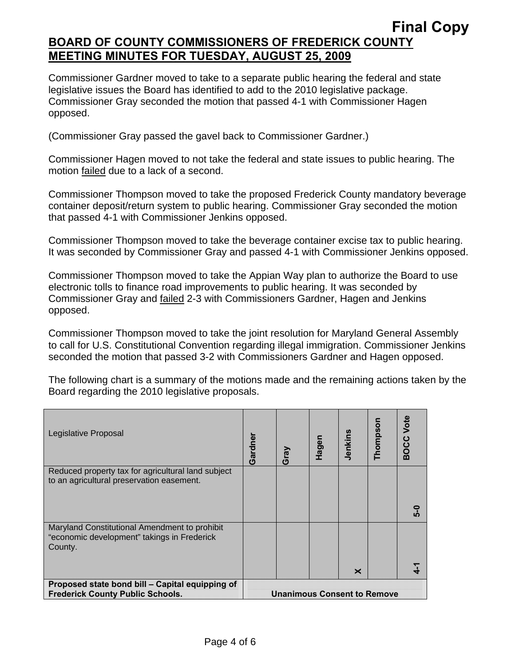# **Final Copy BOARD OF COUNTY COMMISSIONERS OF FREDERICK COUNTY MEETING MINUTES FOR TUESDAY, AUGUST 25, 2009**

Commissioner Gardner moved to take to a separate public hearing the federal and state legislative issues the Board has identified to add to the 2010 legislative package. Commissioner Gray seconded the motion that passed 4-1 with Commissioner Hagen opposed.

(Commissioner Gray passed the gavel back to Commissioner Gardner.)

Commissioner Hagen moved to not take the federal and state issues to public hearing. The motion failed due to a lack of a second.

Commissioner Thompson moved to take the proposed Frederick County mandatory beverage container deposit/return system to public hearing. Commissioner Gray seconded the motion that passed 4-1 with Commissioner Jenkins opposed.

Commissioner Thompson moved to take the beverage container excise tax to public hearing. It was seconded by Commissioner Gray and passed 4-1 with Commissioner Jenkins opposed.

Commissioner Thompson moved to take the Appian Way plan to authorize the Board to use electronic tolls to finance road improvements to public hearing. It was seconded by Commissioner Gray and failed 2-3 with Commissioners Gardner, Hagen and Jenkins opposed.

Commissioner Thompson moved to take the joint resolution for Maryland General Assembly to call for U.S. Constitutional Convention regarding illegal immigration. Commissioner Jenkins seconded the motion that passed 3-2 with Commissioners Gardner and Hagen opposed.

The following chart is a summary of the motions made and the remaining actions taken by the Board regarding the 2010 legislative proposals.

| Legislative Proposal                                                                                    | Gardner                            | Gray | Hagen | Jenkins | Thompson | <b>BOCC Vote</b> |
|---------------------------------------------------------------------------------------------------------|------------------------------------|------|-------|---------|----------|------------------|
| Reduced property tax for agricultural land subject<br>to an agricultural preservation easement.         |                                    |      |       |         |          | ူ                |
| Maryland Constitutional Amendment to prohibit<br>"economic development" takings in Frederick<br>County. |                                    |      |       | ×       |          |                  |
| Proposed state bond bill - Capital equipping of<br><b>Frederick County Public Schools.</b>              | <b>Unanimous Consent to Remove</b> |      |       |         |          |                  |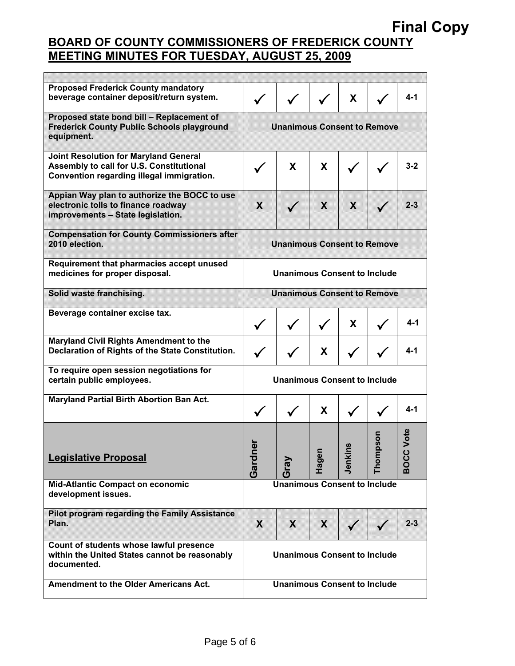# **Final Copy**

# **BOARD OF COUNTY COMMISSIONERS OF FREDERICK COUNTY MEETING MINUTES FOR TUESDAY, AUGUST 25, 2009**

| <b>Proposed Frederick County mandatory</b><br>beverage container deposit/return system.                                               |                                     |      |              | X           |             | $4 - 1$             |  |  |
|---------------------------------------------------------------------------------------------------------------------------------------|-------------------------------------|------|--------------|-------------|-------------|---------------------|--|--|
| Proposed state bond bill - Replacement of<br><b>Frederick County Public Schools playground</b><br>equipment.                          | <b>Unanimous Consent to Remove</b>  |      |              |             |             |                     |  |  |
| <b>Joint Resolution for Maryland General</b><br>Assembly to call for U.S. Constitutional<br>Convention regarding illegal immigration. |                                     | X    | X            |             |             | $3 - 2$             |  |  |
| Appian Way plan to authorize the BOCC to use<br>electronic tolls to finance roadway<br>improvements - State legislation.              | 7                                   |      | 7            | 7           |             | 2.3                 |  |  |
| <b>Compensation for County Commissioners after</b><br>2010 election.                                                                  | <b>Unanimous Consent to Remove</b>  |      |              |             |             |                     |  |  |
| Requirement that pharmacies accept unused<br>medicines for proper disposal.                                                           | Unanimous Consent to Include        |      |              |             |             |                     |  |  |
| Solid waste franchising.                                                                                                              | <b>Unanimous Consent to Remove</b>  |      |              |             |             |                     |  |  |
| Beverage container excise tax.                                                                                                        |                                     |      |              | X.          |             | $4 - 1$             |  |  |
| <b>Maryland Civil Rights Amendment to the</b><br>Declaration of Rights of the State Constitution.                                     |                                     |      | $\mathsf{X}$ |             |             | $4 - 1$             |  |  |
| To require open session negotiations for<br>certain public employees.                                                                 | <b>Unanimous Consent to Include</b> |      |              |             |             |                     |  |  |
| <b>Maryland Partial Birth Abortion Ban Act.</b>                                                                                       |                                     |      | X            |             |             | 4-1                 |  |  |
| <b>Legislative Proposal</b>                                                                                                           | ō<br>Gardn                          | Gray | Hager        | ഗ<br>Jenkir | nos<br>Thom | Vote<br><b>BOCC</b> |  |  |
| <b>Mid-Atlantic Compact on economic</b><br>development issues.                                                                        | <b>Unanimous Consent to Include</b> |      |              |             |             |                     |  |  |
| <b>Pilot program regarding the Family Assistance</b><br>Plan.                                                                         | 7                                   | 7    | 7            |             |             | $2 - 3$             |  |  |
| Count of students whose lawful presence<br>within the United States cannot be reasonably<br>documented.                               | <b>Unanimous Consent to Include</b> |      |              |             |             |                     |  |  |
| <b>Amendment to the Older Americans Act.</b>                                                                                          | <b>Unanimous Consent to Include</b> |      |              |             |             |                     |  |  |